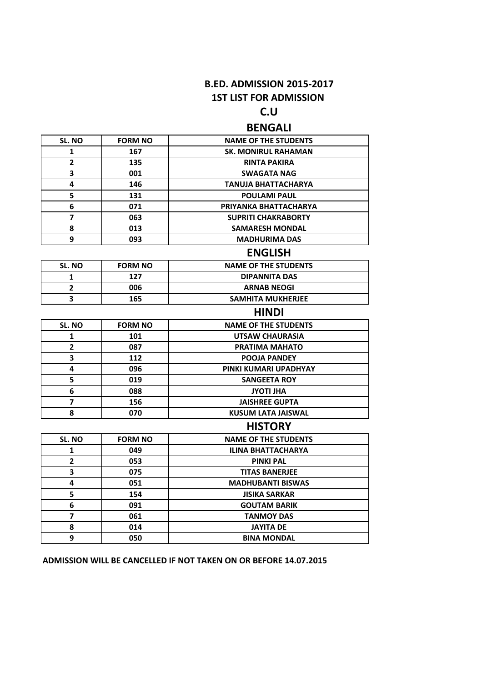## **B.ED. ADMISSION 2015-2017 1ST LIST FOR ADMISSION**

# **C.U**

## **BENGALI**

| SL. NO                  | <b>FORM NO</b> | <b>NAME OF THE STUDENTS</b> |
|-------------------------|----------------|-----------------------------|
| 1                       | 167            | <b>SK. MONIRUL RAHAMAN</b>  |
| $\overline{2}$          | 135            | <b>RINTA PAKIRA</b>         |
| 3                       | 001            | <b>SWAGATA NAG</b>          |
| 4                       | 146            | TANUJA BHATTACHARYA         |
| 5                       | 131            | <b>POULAMI PAUL</b>         |
| 6                       | 071            | PRIYANKA BHATTACHARYA       |
| 7                       | 063            | <b>SUPRITI CHAKRABORTY</b>  |
| 8                       | 013            | <b>SAMARESH MONDAL</b>      |
| 9                       | 093            | <b>MADHURIMA DAS</b>        |
|                         |                | <b>ENGLISH</b>              |
| SL. NO                  | <b>FORM NO</b> | <b>NAME OF THE STUDENTS</b> |
| 1                       | 127            | <b>DIPANNITA DAS</b>        |
| $\mathbf{2}$            | 006            | <b>ARNAB NEOGI</b>          |
| 3                       | 165            | SAMHITA MUKHERJEE           |
|                         |                | <b>HINDI</b>                |
| SL. NO                  | <b>FORM NO</b> | <b>NAME OF THE STUDENTS</b> |
| 1                       | 101            | UTSAW CHAURASIA             |
| $\mathbf{2}$            | 087            | <b>PRATIMA MAHATO</b>       |
| 3                       | 112            | <b>POOJA PANDEY</b>         |
| 4                       | 096            | PINKI KUMARI UPADHYAY       |
| 5                       | 019            | <b>SANGEETA ROY</b>         |
| 6                       | 088            | <b>AHLITOYL</b>             |
| $\overline{\mathbf{z}}$ | 156            | <b>JAISHREE GUPTA</b>       |
| 8                       | 070            | <b>KUSUM LATA JAISWAL</b>   |
|                         |                | <b>HISTORY</b>              |
| SL. NO                  | <b>FORM NO</b> | <b>NAME OF THE STUDENTS</b> |
| 1                       | 049            | <b>ILINA BHATTACHARYA</b>   |
| $\mathbf{2}$            | 053            | <b>PINKI PAL</b>            |
| 3                       | 075            | <b>TITAS BANERJEE</b>       |
| 4                       | 051            | <b>MADHUBANTI BISWAS</b>    |
| 5                       | 154            | <b>JISIKA SARKAR</b>        |
| 6                       | 091            | <b>GOUTAM BARIK</b>         |
| $\overline{ }$          | 061            | <b>TANMOY DAS</b>           |
| 8                       | 014            | <b>JAYITA DE</b>            |
| 9                       | 050            | <b>BINA MONDAL</b>          |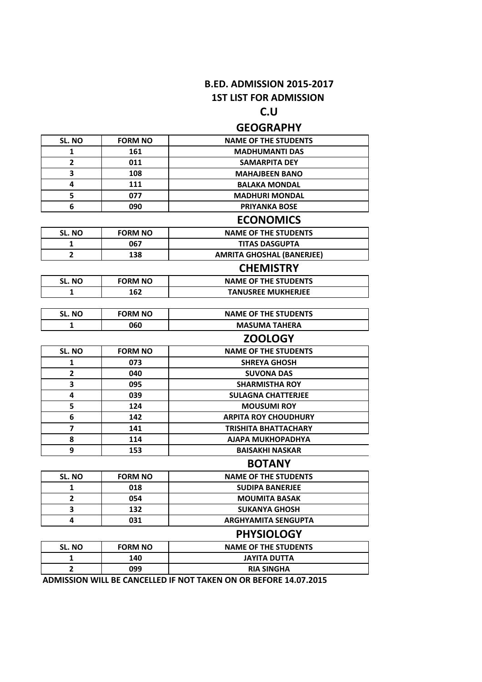## **B.ED. ADMISSION 2015-2017 1ST LIST FOR ADMISSION**

## **C.U**

## **GEOGRAPHY**

| SL. NO         | <b>FORM NO</b> | <b>NAME OF THE STUDENTS</b>      |
|----------------|----------------|----------------------------------|
| 1              | 161            | <b>MADHUMANTI DAS</b>            |
| $\overline{2}$ | 011            | <b>SAMARPITA DEY</b>             |
| 3              | 108            | <b>MAHAJBEEN BANO</b>            |
| 4              | 111            | <b>BALAKA MONDAL</b>             |
| 5              | 077            | <b>MADHURI MONDAL</b>            |
| 6              | 090            | <b>PRIYANKA BOSE</b>             |
|                |                | <b>ECONOMICS</b>                 |
| SL. NO         | <b>FORM NO</b> | <b>NAME OF THE STUDENTS</b>      |
| 1              | 067            | <b>TITAS DASGUPTA</b>            |
| $\overline{2}$ | 138            | <b>AMRITA GHOSHAL (BANERJEE)</b> |
|                |                | <b>CHEMISTRY</b>                 |
| SL. NO         | <b>FORM NO</b> | <b>NAME OF THE STUDENTS</b>      |
| 1              | 162            | <b>TANUSREE MUKHERJEE</b>        |
|                |                |                                  |
| SL. NO         | <b>FORM NO</b> | <b>NAME OF THE STUDENTS</b>      |
| 1              | 060            | <b>MASUMA TAHERA</b>             |
|                |                | <b>ZOOLOGY</b>                   |
| SL. NO         | <b>FORM NO</b> | <b>NAME OF THE STUDENTS</b>      |
| 1              | 073            | <b>SHREYA GHOSH</b>              |
| $\overline{2}$ | 040            | <b>SUVONA DAS</b>                |
| 3              | 095            | <b>SHARMISTHA ROY</b>            |
| 4              | 039            | <b>SULAGNA CHATTERJEE</b>        |
| 5              | 124            | <b>MOUSUMI ROY</b>               |
| 6              | 142            | <b>ARPITA ROY CHOUDHURY</b>      |
| 7              | 141            | <b>TRISHITA BHATTACHARY</b>      |
| 8              | 114            | AJAPA MUKHOPADHYA                |
| 9              | 153            | <b>BAISAKHI NASKAR</b>           |
|                |                | <b>BOTANY</b>                    |
| SL. NO         | <b>FORM NO</b> | <b>NAME OF THE STUDENTS</b>      |
| 1              | 018            | <b>SUDIPA BANERJEE</b>           |
| $\mathbf{2}$   | 054            | <b>MOUMITA BASAK</b>             |
| 3              | 132            | <b>SUKANYA GHOSH</b>             |
| 4              | 031            | <b>ARGHYAMITA SENGUPTA</b>       |
|                |                | <b>PHYSIOLOGY</b>                |
| SL. NO         | <b>FORM NO</b> | <b>NAME OF THE STUDENTS</b>      |
| 1              | 140            | <b>JAYITA DUTTA</b>              |

**2 099 RIA SINGHA**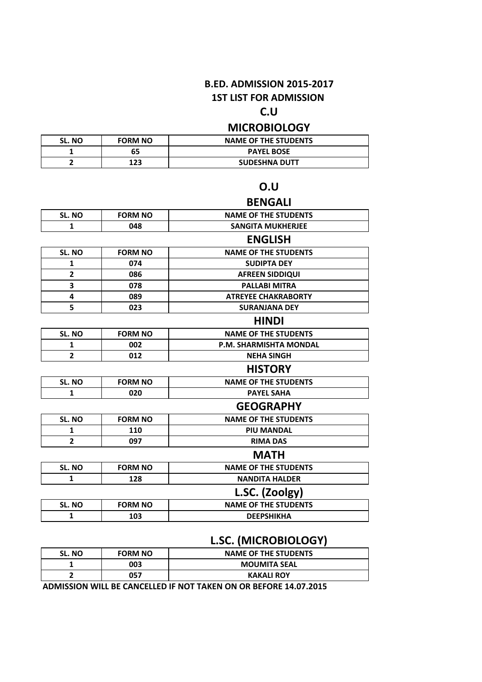## **B.ED. ADMISSION 2015-2017**

#### **1ST LIST FOR ADMISSION**

## **C.U**

## **MICROBIOLOGY**

| SL. NO | <b>FORM NO</b> | <b>NAME OF THE STUDENTS</b> |
|--------|----------------|-----------------------------|
|        | 65             | <b>PAYEL BOSE</b>           |
|        | 123            | <b>SUDESHNA DUTT</b>        |

#### **O.U**

### **BENGALI** SL. NO **FORM NO NAME OF THE STUDENTS 1 048 SANGITA MUKHERJEE ENGLISH** SL. NO **FORM NO** NAME OF THE STUDENTS **1 074 SUDIPTA DEY 2 086 AFREEN SIDDIQUI 3 078 PALLABI MITRA 4 089 ATREYEE CHAKRABORTY 5 023 SURANJANA DEY HINDI** SL. NO FORM NO NAME OF THE STUDENTS **1 002 P.M. SHARMISHTA MONDAL 2 012 NEHA SINGH HISTORY** SL. NO **FORM NO** NAME OF THE STUDENTS **1 020 PAYEL SAHA GEOGRAPHY** SL. NO **FORM NO NAME OF THE STUDENTS 1 110 PIU MANDAL 2 097 RIMA DAS MATH** SL. NO **FORM NO NAME OF THE STUDENTS 1 128 NANDITA HALDER L.SC. (Zoolgy)**

|               |                | -                           |
|---------------|----------------|-----------------------------|
| <b>SL. NO</b> | <b>FORM NO</b> | <b>NAME OF THE STUDENTS</b> |
|               | LO3            | <b>DEEPSHIKHA</b>           |
|               |                |                             |

#### **L.SC. (MICROBIOLOGY)**

| <b>SL. NO</b> | <b>FORM NO</b> | <b>NAME OF THE STUDENTS</b> |
|---------------|----------------|-----------------------------|
|               | 003            | <b>MOUMITA SEAL</b>         |
|               | 057            | <b>KAKALI ROY</b>           |